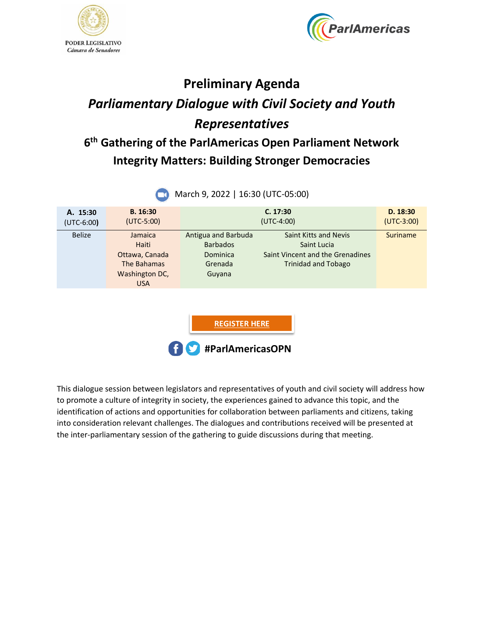



## **Preliminary Agenda** *Parliamentary Dialogue with Civil Society and Youth Representatives*

## **6 th Gathering of the ParlAmericas Open Parliament Network Integrity Matters: Building Stronger Democracies**

| <b>IVIDICITY, ZUZZ   10.50 (UTC-03.00)</b> |                                                                                   |                                                                         |                                                                                                               |                          |  |
|--------------------------------------------|-----------------------------------------------------------------------------------|-------------------------------------------------------------------------|---------------------------------------------------------------------------------------------------------------|--------------------------|--|
| A. 15:30<br>$(UTC-6:00)$                   | B. 16:30<br>$(UTC-5:00)$                                                          |                                                                         | C. 17:30<br>$(UTC-4:00)$                                                                                      | D. 18:30<br>$(UTC-3:00)$ |  |
| <b>Belize</b>                              | Jamaica<br>Haiti<br>Ottawa, Canada<br>The Bahamas<br>Washington DC,<br><b>USA</b> | Antigua and Barbuda<br><b>Barbados</b><br>Dominica<br>Grenada<br>Guyana | <b>Saint Kitts and Nevis</b><br>Saint Lucia<br>Saint Vincent and the Grenadines<br><b>Trinidad and Tobago</b> | <b>Suriname</b>          |  |
|                                            |                                                                                   | <b>REGISTER HERE</b><br>#ParlAmericasOPN                                |                                                                                                               |                          |  |

March 9, 2022 | 16:30 (UTC-05:00)

This dialogue session between legislators and representatives of youth and civil society will address how to promote a culture of integrity in society, the experiences gained to advance this topic, and the identification of actions and opportunities for collaboration between parliaments and citizens, taking into consideration relevant challenges. The dialogues and contributions received will be presented at the inter-parliamentary session of the gathering to guide discussions during that meeting.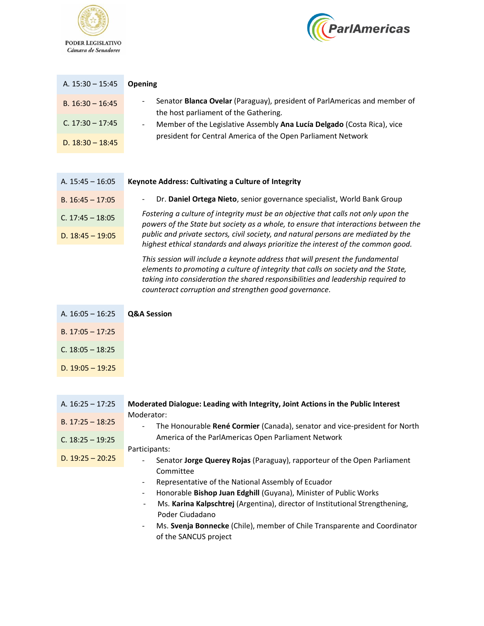



| A. $15:30 - 15:45$ | <b>Opening</b>                                                                                                                       |
|--------------------|--------------------------------------------------------------------------------------------------------------------------------------|
| B. $16:30 - 16:45$ | Senator Blanca Ovelar (Paraguay), president of ParlAmericas and member of<br>$\blacksquare$<br>the host parliament of the Gathering. |
| C. $17:30 - 17:45$ | Member of the Legislative Assembly Ana Lucía Delgado (Costa Rica), vice<br>۰.                                                        |
| D. $18:30 - 18:45$ | president for Central America of the Open Parliament Network                                                                         |

| A. $15:45 - 16:05$ | Keynote Address: Cultivating a Culture of Integrity                                                                                                                       |
|--------------------|---------------------------------------------------------------------------------------------------------------------------------------------------------------------------|
| B. $16:45 - 17:05$ | Dr. Daniel Ortega Nieto, senior governance specialist, World Bank Group<br>$\sim$                                                                                         |
| C. $17:45 - 18:05$ | Fostering a culture of integrity must be an objective that calls not only upon the<br>powers of the State but society as a whole, to ensure that interactions between the |
| D. $18:45 - 19:05$ | public and private sectors, civil society, and natural persons are mediated by the<br>highest ethical standards and always prioritize the interest of the common good.    |
|                    | This session will include a keypote address that will present the fundamental                                                                                             |

*This session will include a keynote address that will present the fundamental elements to promoting a culture of integrity that calls on society and the State, taking into consideration the shared responsibilities and leadership required to counteract corruption and strengthen good governance.*

| A. $16:05 - 16:25$    | <b>Q&amp;A Session</b> |
|-----------------------|------------------------|
| B. $17:05 - 17:25$    |                        |
| $C_{1}$ 18:05 - 18:25 |                        |
| D. $19:05 - 19:25$    |                        |

A. 16:25 – 17:25 **Moderated Dialogue: Leading with Integrity, Joint Actions in the Public Interest** Moderator: - The Honourable **René Cormier** (Canada), senator and vice-president for North America of the ParlAmericas Open Parliament Network Participants: - Senator **Jorge Querey Rojas** (Paraguay), rapporteur of the Open Parliament Committee Representative of the National Assembly of Ecuador - Honorable **Bishop Juan Edghill** (Guyana), Minister of Public Works - Ms. **Karina Kalpschtrej** (Argentina), director of Institutional Strengthening, Poder Ciudadano B. 17:25 – 18:25 C. 18:25 – 19:25 D.  $19:25 - 20:25$ 

> - Ms. **Svenja Bonnecke** (Chile), member of Chile Transparente and Coordinator of the SANCUS project